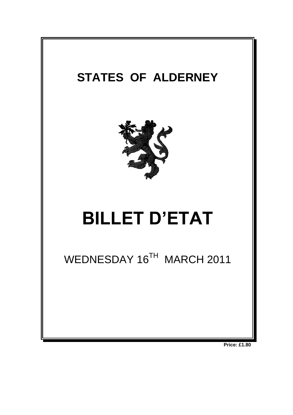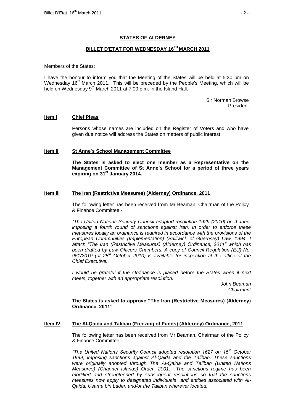## **STATES OF ALDERNEY**

# **BILLET D'ETAT FOR WEDNESDAY 16 TH MARCH 2011**

Members of the States:

I have the honour to inform you that the Meeting of the States will be held at 5:30 pm on Wednesday 16<sup>th</sup> March 2011. This will be preceded by the People's Meeting, which will be held on Wednesday 9<sup>th</sup> March 2011 at 7:00 p.m. in the Island Hall.

> Sir Norman Browse President

### **Item l Chief Pleas**

Persons whose names are included on the Register of Voters and who have given due notice will address the States on matters of public interest.

#### **Item ll St Anne's School Management Committee**

**The States is asked to elect one member as a Representative on the Management Committee of St Anne's School for a period of three years expiring on 31st January 2014.** 

### **Item lll The Iran (Restrictive Measures) (Alderney) Ordinance, 2011**

The following letter has been received from Mr Beaman, Chairman of the Policy & Finance Committee:-

*"The United Nations Security Council adopted resolution 1929 (2010) on 9 June, imposing a fourth round of sanctions against Iran. In order to enforce these measures locally an ordinance is required in accordance with the provisions of the European Communities (Implementation) (Bailiwick of Guernsey) Law, 1994. I attach "The Iran (Restrictive Measures) (Alderney) Ordinance, 2011" which has been drafted by Law Officers Chambers. A copy of Council Regulation (EU) No. 961/2010 (of 25th October 2010) is available for inspection at the office of the Chief Executive.*

*I would be grateful if the Ordinance is placed before the States when it next meets, together with an appropriate resolution.*

> *John Beaman Chairman"*

**The States is asked to approve "The Iran (Restrictive Measures) (Alderney) Ordinance, 2011"**

### **Item lV The Al-Qaida and Taliban (Freezing of Funds) (Alderney) Ordinance, 2011**

The following letter has been received from Mr Beaman, Chairman of the Policy & Finance Committee:-

*"The United Nations Security Council adopted resolution 1627 on 15th October 1999, imposing sanctions against Al-Qaida and the Taliban. These sanctions were originally adopted through The Al-Qaida and Taliban (United Nations Measures) (Channel Islands) Order, 2001. The sanctions regime has been modified and strengthened by subsequent resolutions so that the sanctions measures now apply to designated individuals and entities associated with Al-Qaida, Usama bin Laden and/or the Taliban wherever located.*